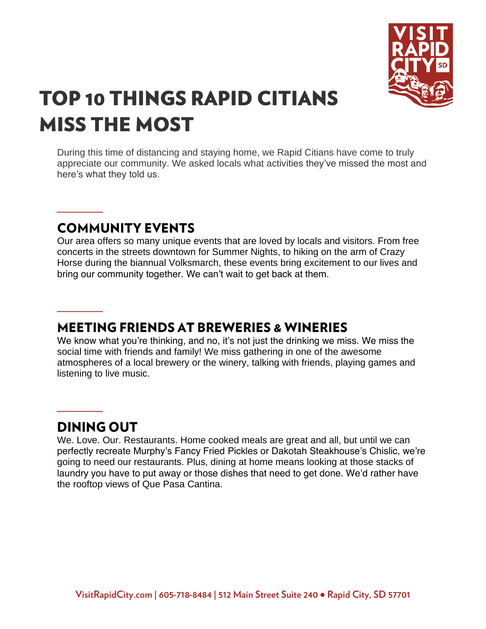

# **TOP 10 THINGS RAPID CITIANS MISS THE MOST**

During this time of distancing and staying home, we Rapid Citians have come to truly appreciate our community. We asked locals what activities they've missed the most and here's what they told us.

# **COMMUNITY EVENTS**

**\_\_\_\_**

**\_\_\_\_**

**\_\_\_\_**

Our area offers so many unique events that are loved by locals and visitors. From free concerts in the streets downtown for Summer Nights, to hiking on the arm of Crazy Horse during the biannual Volksmarch, these events bring excitement to our lives and bring our community together. We can't wait to get back at them.

## **MEETING FRIENDS AT BREWERIES & WINERIES**

We know what you're thinking, and no, it's not just the drinking we miss. We miss the social time with friends and family! We miss gathering in one of the awesome atmospheres of a local brewery or the winery, talking with friends, playing games and listening to live music.

## **DINING OUT**

We. Love. Our. Restaurants. Home cooked meals are great and all, but until we can perfectly recreate Murphy's Fancy Fried Pickles or Dakotah Steakhouse's Chislic, we're going to need our restaurants. Plus, dining at home means looking at those stacks of laundry you have to put away or those dishes that need to get done. We'd rather have the rooftop views of Que Pasa Cantina.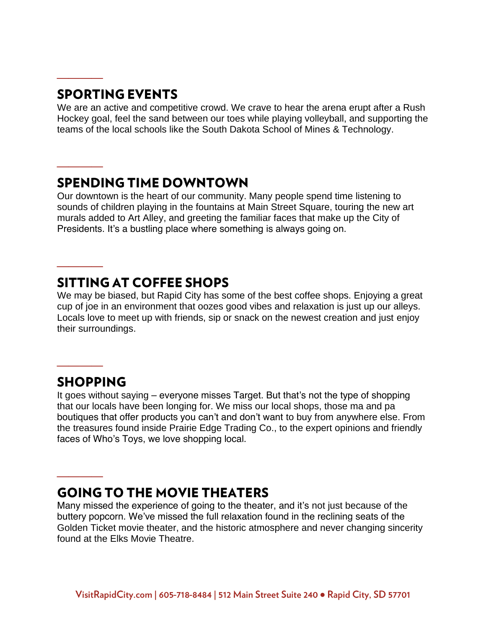#### **SPORTING EVENTS**

**\_\_\_\_**

**\_\_\_\_**

**\_\_\_\_**

We are an active and competitive crowd. We crave to hear the arena erupt after a Rush Hockey goal, feel the sand between our toes while playing volleyball, and supporting the teams of the local schools like the South Dakota School of Mines & Technology.

### **SPENDING TIME DOWNTOWN**

Our downtown is the heart of our community. Many people spend time listening to sounds of children playing in the fountains at Main Street Square, touring the new art murals added to Art Alley, and greeting the familiar faces that make up the City of Presidents. It's a bustling place where something is always going on.

#### **SITTING AT COFFEE SHOPS**

We may be biased, but Rapid City has some of the best coffee shops. Enjoying a great cup of joe in an environment that oozes good vibes and relaxation is just up our alleys. Locals love to meet up with friends, sip or snack on the newest creation and just enjoy their surroundings.

#### **SHOPPING**

**\_\_\_\_**

**\_\_\_\_**

It goes without saying – everyone misses Target. But that's not the type of shopping that our locals have been longing for. We miss our local shops, those ma and pa boutiques that offer products you can't and don't want to buy from anywhere else. From the treasures found inside Prairie Edge Trading Co., to the expert opinions and friendly faces of Who's Toys, we love shopping local.

## **GOING TO THE MOVIE THEATERS**

Many missed the experience of going to the theater, and it's not just because of the buttery popcorn. We've missed the full relaxation found in the reclining seats of the Golden Ticket movie theater, and the historic atmosphere and never changing sincerity found at the Elks Movie Theatre.